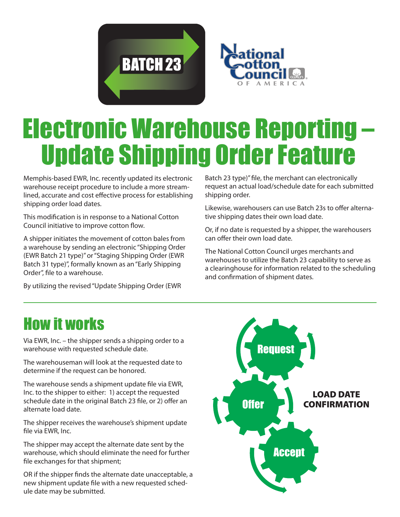

# Electronic Warehouse Reporting – Update Shipping Order Feature

Memphis-based EWR, Inc. recently updated its electronic warehouse receipt procedure to include a more streamlined, accurate and cost effective process for establishing shipping order load dates.

This modification is in response to a National Cotton Council initiative to improve cotton flow.

A shipper initiates the movement of cotton bales from a warehouse by sending an electronic "Shipping Order (EWR Batch 21 type)" or "Staging Shipping Order (EWR Batch 31 type)", formally known as an "Early Shipping Order", file to a warehouse.

By utilizing the revised "Update Shipping Order (EWR

Batch 23 type)" file, the merchant can electronically request an actual load/schedule date for each submitted shipping order.

Likewise, warehousers can use Batch 23s to offer alternative shipping dates their own load date.

Or, if no date is requested by a shipper, the warehousers can offer their own load date.

The National Cotton Council urges merchants and warehouses to utilize the Batch 23 capability to serve as a clearinghouse for information related to the scheduling and confirmation of shipment dates.

### How it works

Via EWR, Inc. – the shipper sends a shipping order to a warehouse with requested schedule date.

The warehouseman will look at the requested date to determine if the request can be honored.

The warehouse sends a shipment update file via EWR, Inc. to the shipper to either: 1) accept the requested schedule date in the original Batch 23 file, or 2) offer an alternate load date.

The shipper receives the warehouse's shipment update file via EWR, Inc.

The shipper may accept the alternate date sent by the warehouse, which should eliminate the need for further file exchanges for that shipment;

OR if the shipper finds the alternate date unacceptable, a new shipment update file with a new requested schedule date may be submitted.